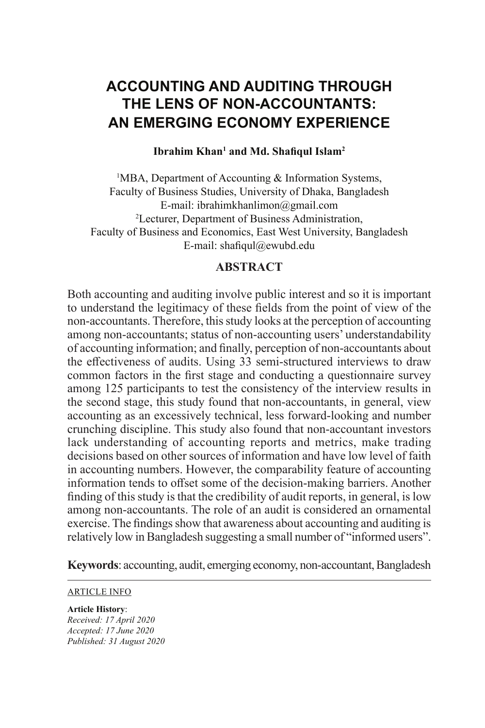# **ACCOUNTING AND AUDITING THROUGH THE LENS OF NON-ACCOUNTANTS: AN EMERGING ECONOMY EXPERIENCE**

#### **Ibrahim Khan<sup>1</sup> and Md. Shafiqul Islam<sup>2</sup>**

<sup>1</sup>MBA, Department of Accounting & Information Systems, Faculty of Business Studies, University of Dhaka, Bangladesh E-mail: ibrahimkhanlimon@gmail.com 2 Lecturer, Department of Business Administration, Faculty of Business and Economics, East West University, Bangladesh E-mail: shafiqul@ewubd.edu

#### **ABSTRACT**

Both accounting and auditing involve public interest and so it is important to understand the legitimacy of these fields from the point of view of the non-accountants. Therefore, this study looks at the perception of accounting among non-accountants; status of non-accounting users' understandability of accounting information; and finally, perception of non-accountants about the effectiveness of audits. Using 33 semi-structured interviews to draw common factors in the first stage and conducting a questionnaire survey among 125 participants to test the consistency of the interview results in the second stage, this study found that non-accountants, in general, view accounting as an excessively technical, less forward-looking and number crunching discipline. This study also found that non-accountant investors lack understanding of accounting reports and metrics, make trading decisions based on other sources of information and have low level of faith in accounting numbers. However, the comparability feature of accounting information tends to offset some of the decision-making barriers. Another finding of this study is that the credibility of audit reports, in general, is low among non-accountants. The role of an audit is considered an ornamental exercise. The findings show that awareness about accounting and auditing is relatively low in Bangladesh suggesting a small number of "informed users".

**Keywords**: accounting, audit, emerging economy, non-accountant, Bangladesh

#### ARTICLE INFO

#### **Article History**:

*Received: 17 April 2020 Accepted: 17 June 2020 Published: 31 August 2020*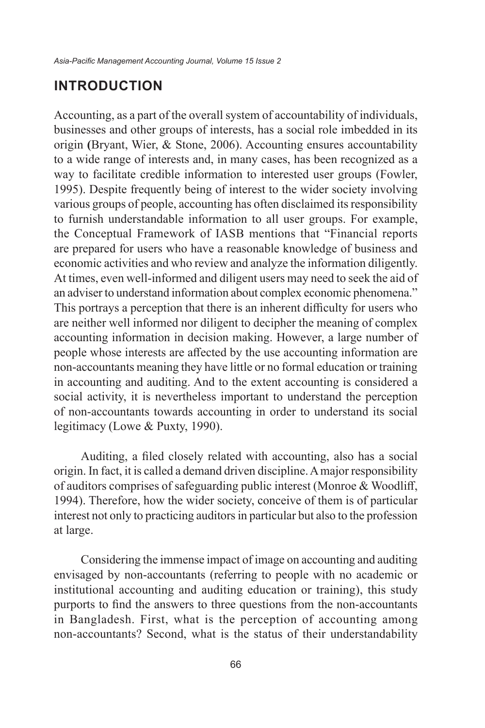#### **INTRODUCTION**

Accounting, as a part of the overall system of accountability of individuals, businesses and other groups of interests, has a social role imbedded in its origin **(**Bryant, Wier, & Stone, 2006). Accounting ensures accountability to a wide range of interests and, in many cases, has been recognized as a way to facilitate credible information to interested user groups (Fowler, 1995). Despite frequently being of interest to the wider society involving various groups of people, accounting has often disclaimed its responsibility to furnish understandable information to all user groups. For example, the Conceptual Framework of IASB mentions that "Financial reports are prepared for users who have a reasonable knowledge of business and economic activities and who review and analyze the information diligently. At times, even well-informed and diligent users may need to seek the aid of an adviser to understand information about complex economic phenomena." This portrays a perception that there is an inherent difficulty for users who are neither well informed nor diligent to decipher the meaning of complex accounting information in decision making. However, a large number of people whose interests are affected by the use accounting information are non-accountants meaning they have little or no formal education or training in accounting and auditing. And to the extent accounting is considered a social activity, it is nevertheless important to understand the perception of non-accountants towards accounting in order to understand its social legitimacy (Lowe & Puxty, 1990).

Auditing, a filed closely related with accounting, also has a social origin. In fact, it is called a demand driven discipline. A major responsibility of auditors comprises of safeguarding public interest (Monroe & Woodliff, 1994). Therefore, how the wider society, conceive of them is of particular interest not only to practicing auditors in particular but also to the profession at large.

Considering the immense impact of image on accounting and auditing envisaged by non-accountants (referring to people with no academic or institutional accounting and auditing education or training), this study purports to find the answers to three questions from the non-accountants in Bangladesh. First, what is the perception of accounting among non-accountants? Second, what is the status of their understandability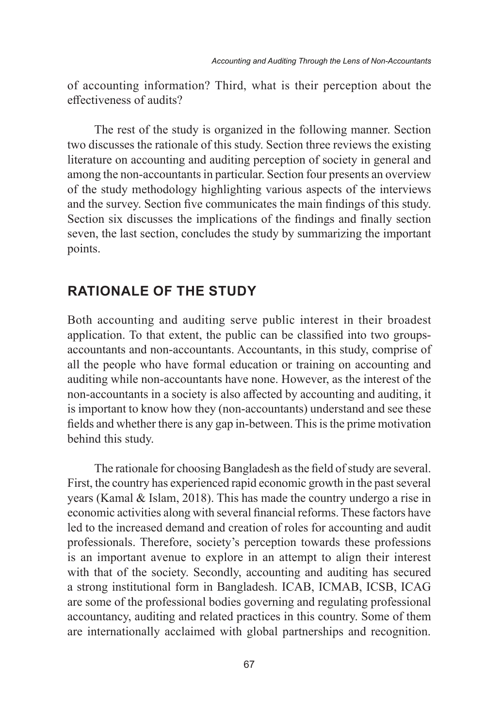of accounting information? Third, what is their perception about the effectiveness of audits?

The rest of the study is organized in the following manner. Section two discusses the rationale of this study. Section three reviews the existing literature on accounting and auditing perception of society in general and among the non-accountants in particular. Section four presents an overview of the study methodology highlighting various aspects of the interviews and the survey. Section five communicates the main findings of this study. Section six discusses the implications of the findings and finally section seven, the last section, concludes the study by summarizing the important points.

#### **RATIONALE OF THE STUDY**

Both accounting and auditing serve public interest in their broadest application. To that extent, the public can be classified into two groupsaccountants and non-accountants. Accountants, in this study, comprise of all the people who have formal education or training on accounting and auditing while non-accountants have none. However, as the interest of the non-accountants in a society is also affected by accounting and auditing, it is important to know how they (non-accountants) understand and see these fields and whether there is any gap in-between. This is the prime motivation behind this study.

The rationale for choosing Bangladesh as the field of study are several. First, the country has experienced rapid economic growth in the past several years (Kamal & Islam, 2018). This has made the country undergo a rise in economic activities along with several financial reforms. These factors have led to the increased demand and creation of roles for accounting and audit professionals. Therefore, society's perception towards these professions is an important avenue to explore in an attempt to align their interest with that of the society. Secondly, accounting and auditing has secured a strong institutional form in Bangladesh. ICAB, ICMAB, ICSB, ICAG are some of the professional bodies governing and regulating professional accountancy, auditing and related practices in this country. Some of them are internationally acclaimed with global partnerships and recognition.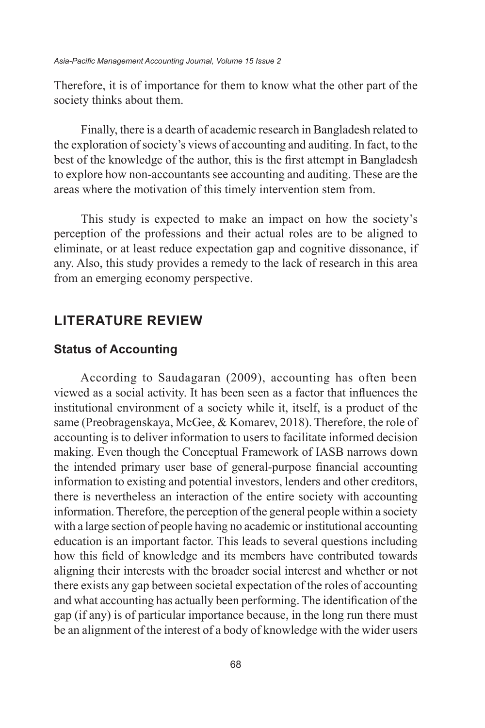Therefore, it is of importance for them to know what the other part of the society thinks about them.

Finally, there is a dearth of academic research in Bangladesh related to the exploration of society's views of accounting and auditing. In fact, to the best of the knowledge of the author, this is the first attempt in Bangladesh to explore how non-accountants see accounting and auditing. These are the areas where the motivation of this timely intervention stem from.

This study is expected to make an impact on how the society's perception of the professions and their actual roles are to be aligned to eliminate, or at least reduce expectation gap and cognitive dissonance, if any. Also, this study provides a remedy to the lack of research in this area from an emerging economy perspective.

#### **LITERATURE REVIEW**

#### **Status of Accounting**

According to Saudagaran (2009), accounting has often been viewed as a social activity. It has been seen as a factor that influences the institutional environment of a society while it, itself, is a product of the same (Preobragenskaya, McGee, & Komarev, 2018). Therefore, the role of accounting is to deliver information to users to facilitate informed decision making. Even though the Conceptual Framework of IASB narrows down the intended primary user base of general-purpose financial accounting information to existing and potential investors, lenders and other creditors, there is nevertheless an interaction of the entire society with accounting information. Therefore, the perception of the general people within a society with a large section of people having no academic or institutional accounting education is an important factor. This leads to several questions including how this field of knowledge and its members have contributed towards aligning their interests with the broader social interest and whether or not there exists any gap between societal expectation of the roles of accounting and what accounting has actually been performing. The identification of the gap (if any) is of particular importance because, in the long run there must be an alignment of the interest of a body of knowledge with the wider users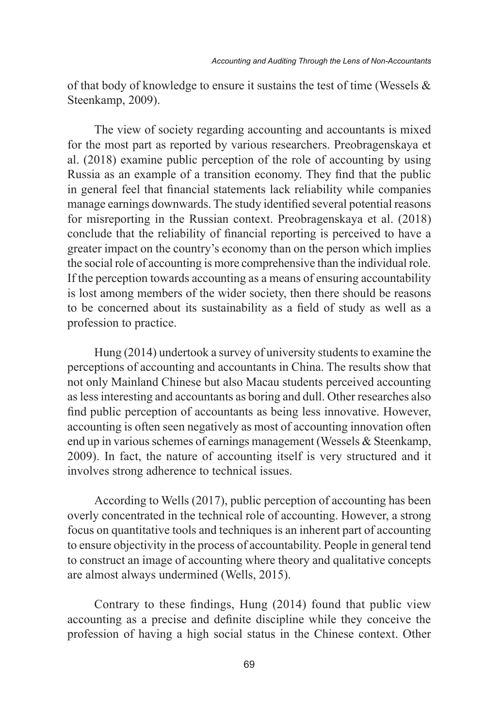of that body of knowledge to ensure it sustains the test of time (Wessels & Steenkamp, 2009).

The view of society regarding accounting and accountants is mixed for the most part as reported by various researchers. Preobragenskaya et al. (2018) examine public perception of the role of accounting by using Russia as an example of a transition economy. They find that the public in general feel that financial statements lack reliability while companies manage earnings downwards. The study identified several potential reasons for misreporting in the Russian context. Preobragenskaya et al. (2018) conclude that the reliability of financial reporting is perceived to have a greater impact on the country's economy than on the person which implies the social role of accounting is more comprehensive than the individual role. If the perception towards accounting as a means of ensuring accountability is lost among members of the wider society, then there should be reasons to be concerned about its sustainability as a field of study as well as a profession to practice.

Hung (2014) undertook a survey of university students to examine the perceptions of accounting and accountants in China. The results show that not only Mainland Chinese but also Macau students perceived accounting as less interesting and accountants as boring and dull. Other researches also find public perception of accountants as being less innovative. However, accounting is often seen negatively as most of accounting innovation often end up in various schemes of earnings management (Wessels & Steenkamp, 2009). In fact, the nature of accounting itself is very structured and it involves strong adherence to technical issues.

According to Wells (2017), public perception of accounting has been overly concentrated in the technical role of accounting. However, a strong focus on quantitative tools and techniques is an inherent part of accounting to ensure objectivity in the process of accountability. People in general tend to construct an image of accounting where theory and qualitative concepts are almost always undermined (Wells, 2015).

Contrary to these findings, Hung (2014) found that public view accounting as a precise and definite discipline while they conceive the profession of having a high social status in the Chinese context. Other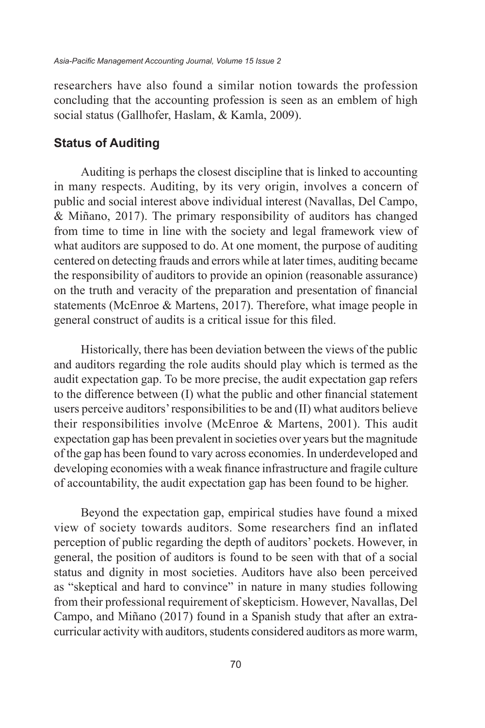researchers have also found a similar notion towards the profession concluding that the accounting profession is seen as an emblem of high social status (Gallhofer, Haslam, & Kamla, 2009).

#### **Status of Auditing**

Auditing is perhaps the closest discipline that is linked to accounting in many respects. Auditing, by its very origin, involves a concern of public and social interest above individual interest (Navallas, Del Campo, & Miñano, 2017). The primary responsibility of auditors has changed from time to time in line with the society and legal framework view of what auditors are supposed to do. At one moment, the purpose of auditing centered on detecting frauds and errors while at later times, auditing became the responsibility of auditors to provide an opinion (reasonable assurance) on the truth and veracity of the preparation and presentation of financial statements (McEnroe & Martens, 2017). Therefore, what image people in general construct of audits is a critical issue for this filed.

Historically, there has been deviation between the views of the public and auditors regarding the role audits should play which is termed as the audit expectation gap. To be more precise, the audit expectation gap refers to the difference between (I) what the public and other financial statement users perceive auditors' responsibilities to be and (II) what auditors believe their responsibilities involve (McEnroe & Martens, 2001). This audit expectation gap has been prevalent in societies over years but the magnitude of the gap has been found to vary across economies. In underdeveloped and developing economies with a weak finance infrastructure and fragile culture of accountability, the audit expectation gap has been found to be higher.

Beyond the expectation gap, empirical studies have found a mixed view of society towards auditors. Some researchers find an inflated perception of public regarding the depth of auditors' pockets. However, in general, the position of auditors is found to be seen with that of a social status and dignity in most societies. Auditors have also been perceived as "skeptical and hard to convince" in nature in many studies following from their professional requirement of skepticism. However, Navallas, Del Campo, and Miñano (2017) found in a Spanish study that after an extracurricular activity with auditors, students considered auditors as more warm,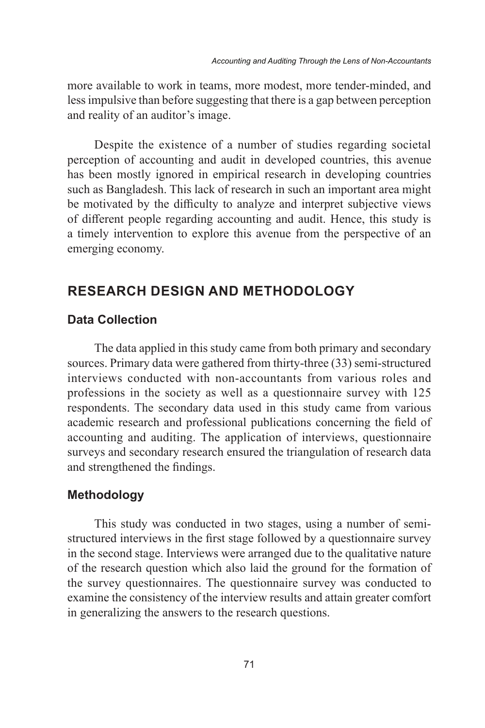more available to work in teams, more modest, more tender-minded, and less impulsive than before suggesting that there is a gap between perception and reality of an auditor's image.

Despite the existence of a number of studies regarding societal perception of accounting and audit in developed countries, this avenue has been mostly ignored in empirical research in developing countries such as Bangladesh. This lack of research in such an important area might be motivated by the difficulty to analyze and interpret subjective views of different people regarding accounting and audit. Hence, this study is a timely intervention to explore this avenue from the perspective of an emerging economy.

## **RESEARCH DESIGN AND METHODOLOGY**

#### **Data Collection**

The data applied in this study came from both primary and secondary sources. Primary data were gathered from thirty-three (33) semi-structured interviews conducted with non-accountants from various roles and professions in the society as well as a questionnaire survey with 125 respondents. The secondary data used in this study came from various academic research and professional publications concerning the field of accounting and auditing. The application of interviews, questionnaire surveys and secondary research ensured the triangulation of research data and strengthened the findings.

#### **Methodology**

This study was conducted in two stages, using a number of semistructured interviews in the first stage followed by a questionnaire survey in the second stage. Interviews were arranged due to the qualitative nature of the research question which also laid the ground for the formation of the survey questionnaires. The questionnaire survey was conducted to examine the consistency of the interview results and attain greater comfort in generalizing the answers to the research questions.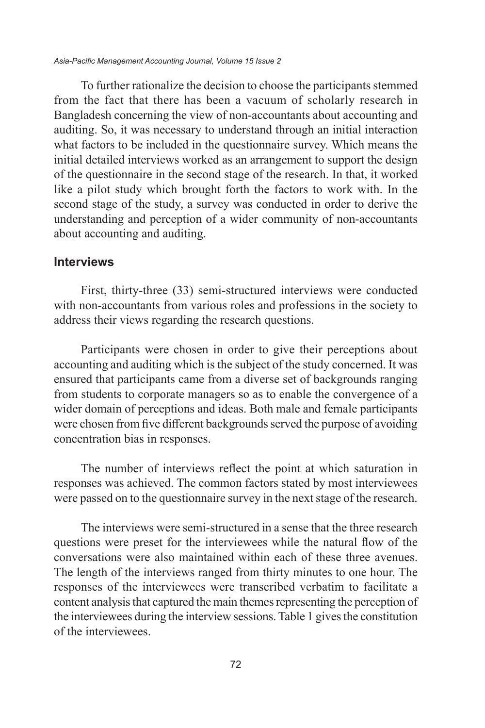*Asia-Pacific Management Accounting Journal, Volume 15 Issue 2*

To further rationalize the decision to choose the participants stemmed from the fact that there has been a vacuum of scholarly research in Bangladesh concerning the view of non-accountants about accounting and auditing. So, it was necessary to understand through an initial interaction what factors to be included in the questionnaire survey. Which means the initial detailed interviews worked as an arrangement to support the design of the questionnaire in the second stage of the research. In that, it worked like a pilot study which brought forth the factors to work with. In the second stage of the study, a survey was conducted in order to derive the understanding and perception of a wider community of non-accountants about accounting and auditing.

#### **Interviews**

First, thirty-three (33) semi-structured interviews were conducted with non-accountants from various roles and professions in the society to address their views regarding the research questions.

Participants were chosen in order to give their perceptions about accounting and auditing which is the subject of the study concerned. It was ensured that participants came from a diverse set of backgrounds ranging from students to corporate managers so as to enable the convergence of a wider domain of perceptions and ideas. Both male and female participants were chosen from five different backgrounds served the purpose of avoiding concentration bias in responses.

The number of interviews reflect the point at which saturation in responses was achieved. The common factors stated by most interviewees were passed on to the questionnaire survey in the next stage of the research.

The interviews were semi-structured in a sense that the three research questions were preset for the interviewees while the natural flow of the conversations were also maintained within each of these three avenues. The length of the interviews ranged from thirty minutes to one hour. The responses of the interviewees were transcribed verbatim to facilitate a content analysis that captured the main themes representing the perception of the interviewees during the interview sessions. Table 1 gives the constitution of the interviewees.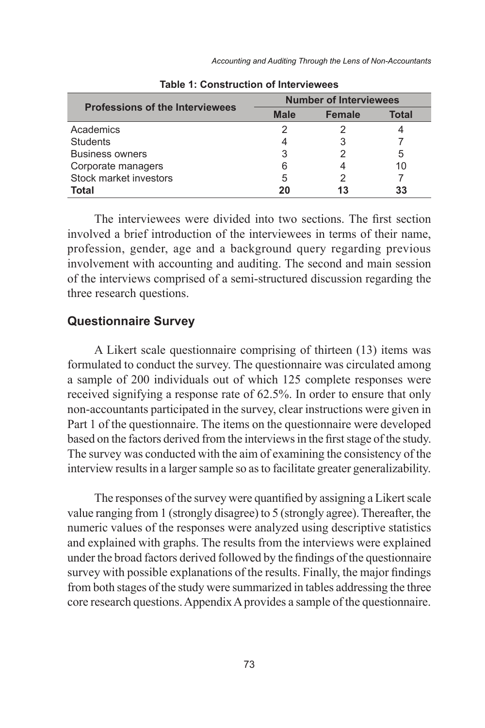*Accounting and Auditing Through the Lens of Non-Accountants*

|                                        | <b>Number of Interviewees</b> |               |       |  |  |  |
|----------------------------------------|-------------------------------|---------------|-------|--|--|--|
| <b>Professions of the Interviewees</b> | <b>Male</b>                   | <b>Female</b> | Total |  |  |  |
| Academics                              | 2                             |               |       |  |  |  |
| <b>Students</b>                        | 4                             |               |       |  |  |  |
| <b>Business owners</b>                 | 3                             |               | 5     |  |  |  |
| Corporate managers                     | 6                             |               | 10    |  |  |  |
| Stock market investors                 | 5                             |               |       |  |  |  |
| Total                                  | 20                            | 13            | 33    |  |  |  |

**Table 1: Construction of Interviewees**

The interviewees were divided into two sections. The first section involved a brief introduction of the interviewees in terms of their name, profession, gender, age and a background query regarding previous involvement with accounting and auditing. The second and main session of the interviews comprised of a semi-structured discussion regarding the three research questions.

#### **Questionnaire Survey**

A Likert scale questionnaire comprising of thirteen (13) items was formulated to conduct the survey. The questionnaire was circulated among a sample of 200 individuals out of which 125 complete responses were received signifying a response rate of 62.5%. In order to ensure that only non-accountants participated in the survey, clear instructions were given in Part 1 of the questionnaire. The items on the questionnaire were developed based on the factors derived from the interviews in the first stage of the study. The survey was conducted with the aim of examining the consistency of the interview results in a larger sample so as to facilitate greater generalizability.

The responses of the survey were quantified by assigning a Likert scale value ranging from 1 (strongly disagree) to 5 (strongly agree). Thereafter, the numeric values of the responses were analyzed using descriptive statistics and explained with graphs. The results from the interviews were explained under the broad factors derived followed by the findings of the questionnaire survey with possible explanations of the results. Finally, the major findings from both stages of the study were summarized in tables addressing the three core research questions. Appendix A provides a sample of the questionnaire.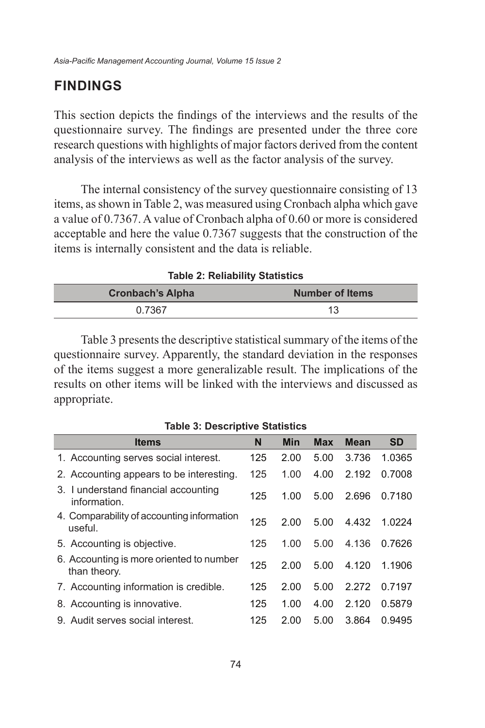## **FINDINGS**

This section depicts the findings of the interviews and the results of the questionnaire survey. The findings are presented under the three core research questions with highlights of major factors derived from the content analysis of the interviews as well as the factor analysis of the survey.

The internal consistency of the survey questionnaire consisting of 13 items, as shown in Table 2, was measured using Cronbach alpha which gave a value of 0.7367. A value of Cronbach alpha of 0.60 or more is considered acceptable and here the value 0.7367 suggests that the construction of the items is internally consistent and the data is reliable.

| <b>Table 2: Reliability Statistics</b>            |    |  |  |  |  |
|---------------------------------------------------|----|--|--|--|--|
| <b>Number of Items</b><br><b>Cronbach's Alpha</b> |    |  |  |  |  |
| 0.7367                                            | 13 |  |  |  |  |

Table 3 presents the descriptive statistical summary of the items of the questionnaire survey. Apparently, the standard deviation in the responses of the items suggest a more generalizable result. The implications of the results on other items will be linked with the interviews and discussed as appropriate.

**Table 3: Descriptive Statistics**

| <b>Items</b>                                             | N   | Min  | <b>Max</b> | <b>Mean</b> | <b>SD</b> |
|----------------------------------------------------------|-----|------|------------|-------------|-----------|
| 1. Accounting serves social interest.                    | 125 | 2.00 | 5.00       | 3.736       | 1.0365    |
| 2. Accounting appears to be interesting.                 | 125 | 1.00 | 4.00       | 2.192       | 0.7008    |
| 3. I understand financial accounting<br>information.     | 125 | 1.00 | 5.00       | 2.696       | 0.7180    |
| 4. Comparability of accounting information<br>useful.    | 125 | 2.00 | 5.00       | 4.432       | 1.0224    |
| 5. Accounting is objective.                              | 125 | 1.00 | 5.00       | 4.136       | 0.7626    |
| 6. Accounting is more oriented to number<br>than theory. | 125 | 2.00 | 5.00       | 4.120       | 1.1906    |
| 7. Accounting information is credible.                   | 125 | 2.00 | 5.00       | 2.272       | 0.7197    |
| 8. Accounting is innovative.                             | 125 | 1.00 | 4.00       | 2.120       | 0.5879    |
| 9. Audit serves social interest.                         | 125 | 2.00 | 5.00       | 3.864       | 0.9495    |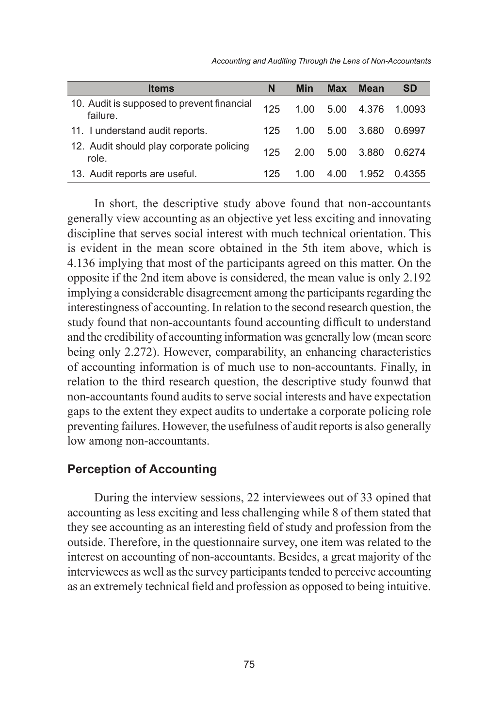*Accounting and Auditing Through the Lens of Non-Accountants*

| <b>Items</b>                                           | N   | Min               | <b>Max</b> | <b>Mean</b> | <b>SD</b> |
|--------------------------------------------------------|-----|-------------------|------------|-------------|-----------|
| 10. Audit is supposed to prevent financial<br>failure. | 125 | 1.00              | 5.00       | 4.376       | 1.0093    |
| 11. I understand audit reports.                        | 125 | 1.00              | 5.00       | 3.680       | 0.6997    |
| 12. Audit should play corporate policing<br>role.      | 125 | $2.00 \quad 5.00$ |            | 3.880       | 0.6274    |
| 13. Audit reports are useful.                          | 125 | 1 NO              | 4.00       | 1.952       | 0.4355    |

In short, the descriptive study above found that non-accountants generally view accounting as an objective yet less exciting and innovating discipline that serves social interest with much technical orientation. This is evident in the mean score obtained in the 5th item above, which is 4.136 implying that most of the participants agreed on this matter. On the opposite if the 2nd item above is considered, the mean value is only 2.192 implying a considerable disagreement among the participants regarding the interestingness of accounting. In relation to the second research question, the study found that non-accountants found accounting difficult to understand and the credibility of accounting information was generally low (mean score being only 2.272). However, comparability, an enhancing characteristics of accounting information is of much use to non-accountants. Finally, in relation to the third research question, the descriptive study founwd that non-accountants found audits to serve social interests and have expectation gaps to the extent they expect audits to undertake a corporate policing role preventing failures. However, the usefulness of audit reports is also generally low among non-accountants.

#### **Perception of Accounting**

During the interview sessions, 22 interviewees out of 33 opined that accounting as less exciting and less challenging while 8 of them stated that they see accounting as an interesting field of study and profession from the outside. Therefore, in the questionnaire survey, one item was related to the interest on accounting of non-accountants. Besides, a great majority of the interviewees as well as the survey participants tended to perceive accounting as an extremely technical field and profession as opposed to being intuitive.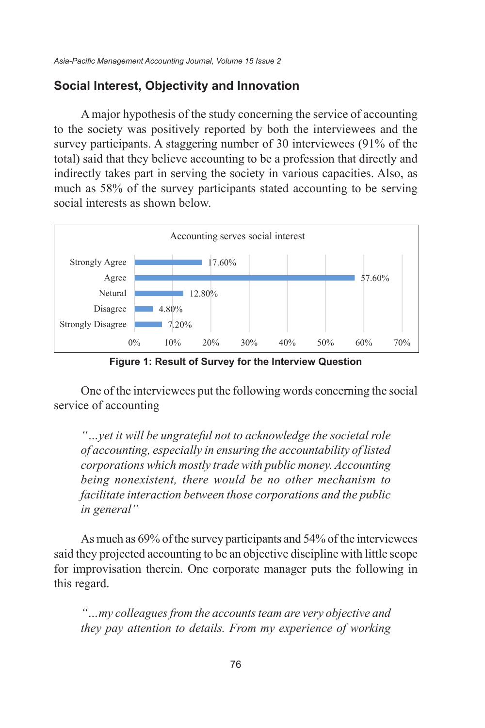#### **Social Interest, Objectivity and Innovation**

A major hypothesis of the study concerning the service of accounting to the society was positively reported by both the interviewees and the survey participants. A staggering number of 30 interviewees (91% of the total) said that they believe accounting to be a profession that directly and indirectly takes part in serving the society in various capacities. Also, as much as 58% of the survey participants stated accounting to be serving social interests as shown below.



**Figure 1: Result of Survey for the Interview Question Figure 1: Result of Survey for the Interview Question**

service of accounting words concerning words concerning the social social social social social social social social social social social social social social social social social social social social social social social s One of the interviewees put the following words concerning the social

*"…yet it will be ungrateful not to acknowledge the societal corporations which mostly trade with public money. Accounting role of accounting, especially in ensuring the accountability being nonexistent, there would be no other mechanism to of listed corporations which mostly trade with public money.*  facilitate interaction between those corporations and the public<br>*in general*" *m* general interaction between the second between the second between the second between the second between the second between the second between the second between the second between the second between  $\mathcal{L}$ *"…yet it will be ungrateful not to acknowledge the societal role of accounting, especially in ensuring the accountability of listed in general"*

As much as 69% of the survey participants and 54% of the interviewees for improvisation therein. One corporate manager puts the following in this regard. said they projected accounting to be an objective discipline with little scope

"...my colleagues from the accounts team are very objective and *they pay attention to details. From my experience of working*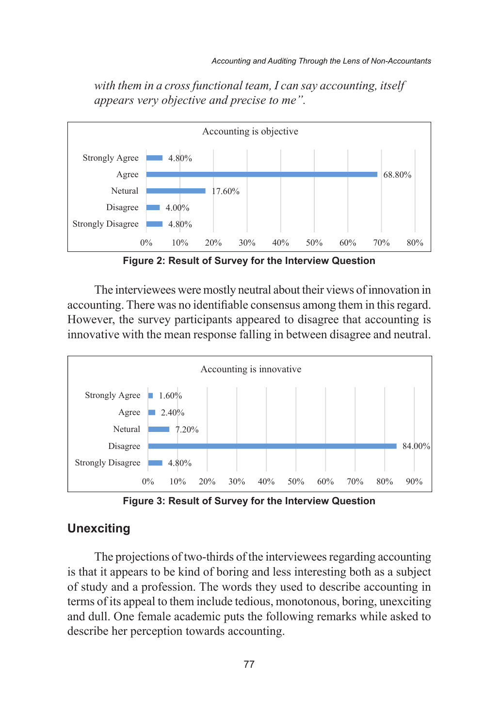with them in a cross functional team, I can say accounting, itself *appears very objective and precise to me".*  $\overline{A}$ 



**Figure 2:: Result of Survey for the Interview Question Figure 2: Result of Survey for the Interview Question**

accounting. There was no identifiable consensus among them in this regard. However, the survey participants appeared to disagree that accounting is innovative with the mean response falling in between disagree and neutral. The interviewees were mostly neutral about their views of innovation in The interviewees were mostly neutral about their views of innovation I'DE INCIVIEWEES WELE MOSHY HEUHAI ADOUT THEM VIEWS OF INHOVATION IN



0% 10% 20% 30% 40% 50% 60% 70% 80% 90% **Figure 3: Result of Survey for the Interview Question Figure 3: Result of Survey for the Interview Question**

#### **Unexciting**

is that it appears to be kind of boring and less interesting both as a subject of its appear to them meritie teatous, monotonous, ooring, unexering and dum. One female acqueme purs the following females while asked to  $\frac{1}{2}$ describe her perception towards accounting. of study and a profession. The words they used to describe accounting in terms of its appeal to them include tedious, monotonous, boring, unexciting and dull. One female academic puts the following remarks while asked to docaries hor nonsention towards associating describe her perception towards accounting. The projections of two-thirds of the interviewees regarding accounting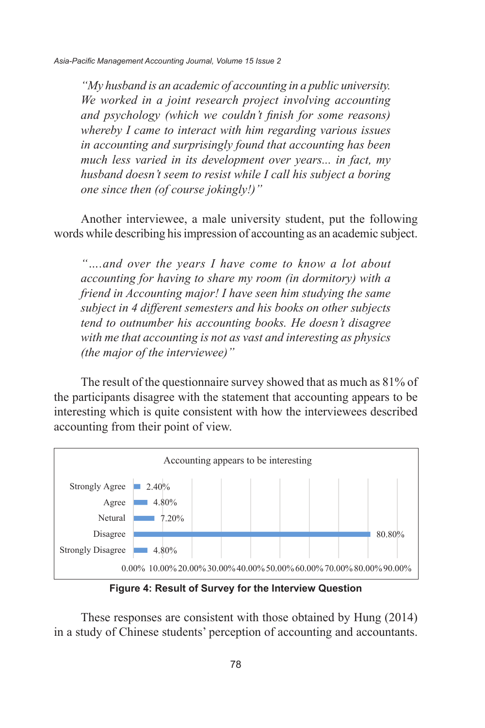Asia-Pacific Management Accounting Journal, Volume 15 Issue 2 *accounting and psychology (which we couldn't finish for* 

"My husband is an academic of accounting in a public university. We worked in a joint research project involving accounting and psychology (which we couldn't finish for some reasons) whereby I came to interact with him regarding various issues in accounting and surprisingly found that accounting has been *much less varied in its development over years... in fact, my*  $\frac{1}{2}$ *husband doesn't seem to resist while I call his subject a boring one since then (of course jokingly!)*"

Another interviewee, a male university student, put the following words while describing his impression of accounting as an academic subject. words while describing his impression of accounting as an academic subject.

"...and over the years I have come to know a lot about accounting for having to share my room (in dormitory) with a friend in Accounting major! I have seen him studying the same *subject in 4 different semesters and his books on other subjects tend to outnumber his accounting books. He doesn't disagree interime is summarized the interestining events for the intergradity maniglical* with me that accounting is not as vast and interesting as physics *(the major of the interviewee)"* 

The result of the questionnaire survey showed that as much as 81% of the participants disagree with the statement that accounting appears to be interesting which is quite consistent with how the interviewees described accounting from their point of view. The result of the questionnaire survey showed that as much as 81% of the result of the questionnaire survey showed that as much as 81% of



**Figure 4: Result of Survey for the Interview Question Figure 4: Result of Survey for the Interview Question**

 $\ddot{ }$ These responses are consistent with those obtained by Hung (2014) in a study of Chinese students' perception of accounting and accountants.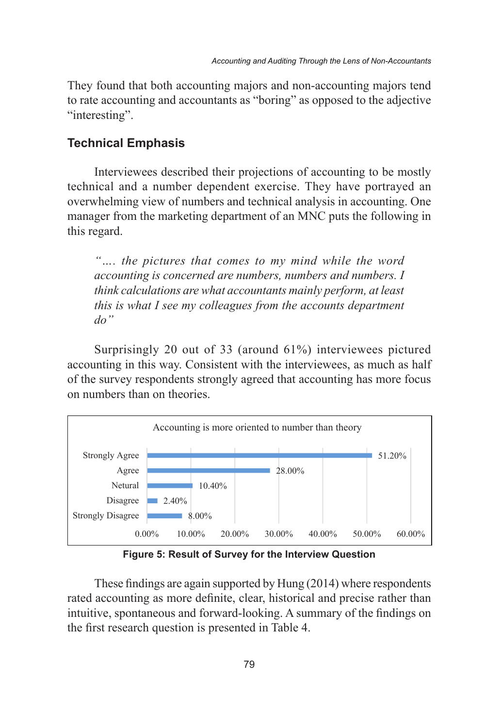They found that both accounting majors and non-accounting majors tend to rate accounting and accountants as "boring" as opposed to the adjective to face accounting an<br>"interesting".

# Interviewe Emphasis described the mostly projections of accounting to be mostly to be mostly to be mostly to be mostly to be mostly to be mostly to be mostly to be mostly to be mostly to be mostly to be mostly to be mostly

Interviewees described their projections of accounting to be mostly technical and a number dependent exercise. They have portrayed an overwhelming view of numbers and technical analysis in accounting. One manager from the marketing department of an MNC puts the following in this regard. technical and a number dependent exercise. They have portrayed an Interviewees described their projections of accounting to be mostly

".... the pictures that comes to my mind while the word accounting is concerned are numbers, numbers and numbers. I think calculations are what accountants mainly perform, at least *this is what I see my colleagues from the accounts department do"*

Surprisingly 20 out of 33 (around 61%) interviewees pictured accounting in this way. Consistent with the interviewees, as much as half of the survey respondents strongly agreed that accounting has more focus on numbers than on theories. Surprisingly 20 out of 33 (around 61%) interviewees pictured  $\frac{1}{20}$  Surprisingly 20 out 01 33 (around 01%) interviewees pictured



**Figure 5: Result of Survey for the Interview Question Figure 5: Result of Survey for the Interview Question**

intuitive, spontaneous and forward-looking. A summary of the findings on These findings are again supported by Hung (2014) where respondents rated accounting as more definite, clear, historical and precise rather than the first research question is presented in Table 4.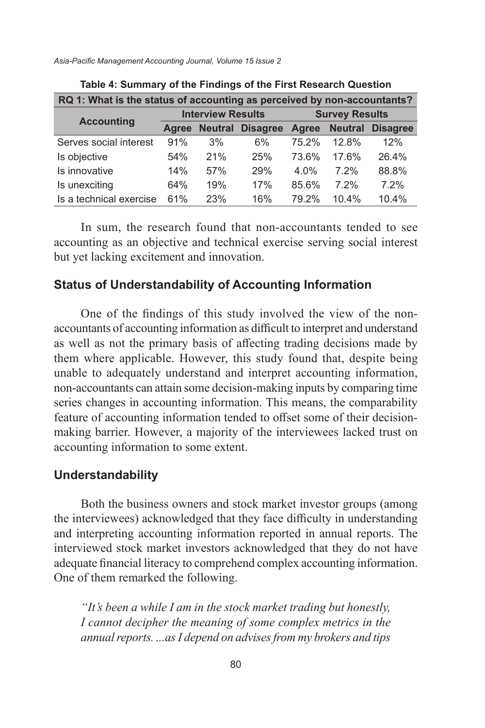*Asia-Pacific Management Accounting Journal, Volume 15 Issue 2*

| RQ 1: What is the status of accounting as perceived by non-accountants? |       |                          |                         |                       |                |                 |  |
|-------------------------------------------------------------------------|-------|--------------------------|-------------------------|-----------------------|----------------|-----------------|--|
| <b>Accounting</b>                                                       |       | <b>Interview Results</b> |                         | <b>Survey Results</b> |                |                 |  |
|                                                                         | Agree |                          | <b>Neutral Disagree</b> | Agree                 | <b>Neutral</b> | <b>Disagree</b> |  |
| Serves social interest                                                  | 91%   | 3%                       | 6%                      | 75.2%                 | 12.8%          | 12%             |  |
| Is objective                                                            | 54%   | 21%                      | 25%                     | 73.6%                 | 17.6%          | 26.4%           |  |
| Is innovative                                                           | 14%   | 57%                      | 29%                     | 4.0%                  | 7.2%           | 88.8%           |  |
| Is unexciting                                                           | 64%   | 19%                      | 17%                     | 85.6%                 | 7.2%           | 7.2%            |  |
| Is a technical exercise                                                 | 61%   | 23%                      | 16%                     | 79 2%                 | 10.4%          | 10.4%           |  |

|  |  | Table 4: Summary of the Findings of the First Research Question |
|--|--|-----------------------------------------------------------------|
|--|--|-----------------------------------------------------------------|

In sum, the research found that non-accountants tended to see accounting as an objective and technical exercise serving social interest but yet lacking excitement and innovation.

#### **Status of Understandability of Accounting Information**

One of the findings of this study involved the view of the nonaccountants of accounting information as difficult to interpret and understand as well as not the primary basis of affecting trading decisions made by them where applicable. However, this study found that, despite being unable to adequately understand and interpret accounting information, non-accountants can attain some decision-making inputs by comparing time series changes in accounting information. This means, the comparability feature of accounting information tended to offset some of their decisionmaking barrier. However, a majority of the interviewees lacked trust on accounting information to some extent.

#### **Understandability**

Both the business owners and stock market investor groups (among the interviewees) acknowledged that they face difficulty in understanding and interpreting accounting information reported in annual reports. The interviewed stock market investors acknowledged that they do not have adequate financial literacy to comprehend complex accounting information. One of them remarked the following.

*"It's been a while I am in the stock market trading but honestly, I cannot decipher the meaning of some complex metrics in the annual reports. ...as I depend on advises from my brokers and tips*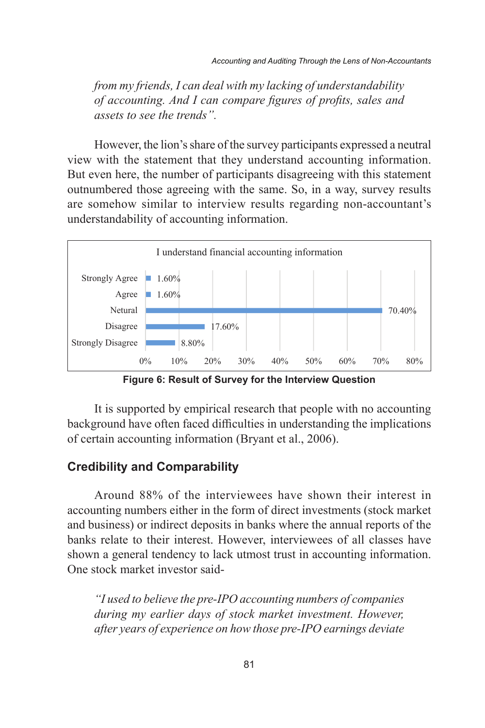*from my friends, I can deal with my lacking of understandability compare figures of profits, sales and assets to see the of accounting. And I can compare figures of profits, sales and assets to see the trends".* 

However, the lion's share of the survey participants expressed a neutral view with the statement that they understand accounting information. But even here, the number of participants disagreeing with this statement outnumbered those agreeing with the same. So, in a way, survey results are somehow similar to interview results regarding non-accountant's understandability of accounting information. However, the lion's share of the survey participants expressed a neutral riew with the statement of the survey participants expressed a neutral



**Figure 6: Result of Survey for the Interview Question Figure 6: Result of Survey for the Interview Question**

It is supported by empirical research that people with no accounting background have often faced difficulties in understanding the implications of certain accounting information (Bryant et al., 2006).

#### **Credibility and Comparability**

Around 88% of the interviewees have shown their interest in accounting numbers either in the form of direct investments (stock market and business) or indirect deposits in banks where the annual reports of the banks relate to their interest. However, interviewees of all classes have shown a general tendency to lack utmost trust in accounting information. One stock market investor said-

*"I used to believe the pre-IPO accounting numbers of companies during my earlier days of stock market investment. However, after years of experience on how those pre-IPO earnings deviate*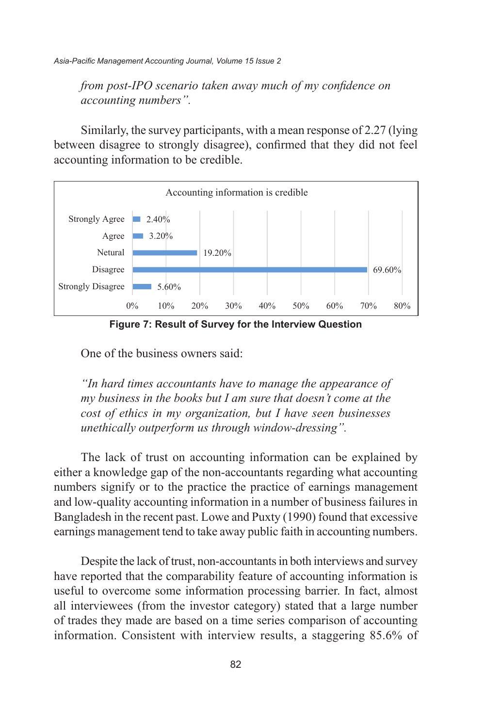*from post-IPO scenario taken away much of my confidence on away much of my confidence on accounting numbers". accounting numbers".* 

Similarly, the survey participants, with a mean response of 2.27 (lying between disagree to strongly disagree), confirmed that they did not feel accounting information to be credible.



**Figure 7: Result of Survey for the Interview Question Figure 7: Result of Survey for the Interview Question**

One of the business owners said:

*cost of ethics in my organization, but I have seen businesses*  $\alpha$ *"In hard times accountants have to manage the appearance of my business in the books but I am sure that doesn't come at the unethically outperform us through window-dressing".* 

The lack of trust on accounting information can be explained by either a knowledge gap of the non-accountants regarding what accounting numbers signify or to the practice the practice of earnings management and low-quality accounting information in a number of business failures in Bangladesh in the recent past. Lowe and Puxty (1990) found that excessive earnings management tend to take away public faith in accounting numbers.

Despite the lack of trust, non-accountants in both interviews and survey have reported that the comparability feature of accounting information is useful to overcome some information processing barrier. In fact, almost all interviewees (from the investor category) stated that a large number of trades they made are based on a time series comparison of accounting information. Consistent with interview results, a staggering 85.6% of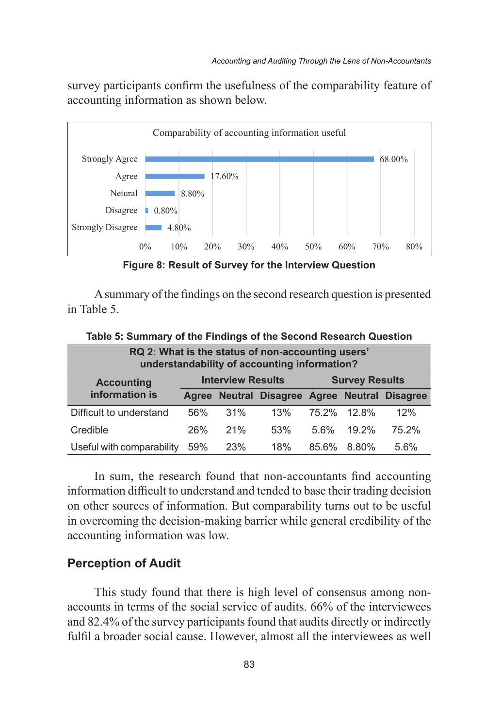survey participants confirm the usefulness of the comparability feature of accounting information as shown below.



**Figure 8: Result of Survey for the Interview Question Figure 8: Result of Survey for the Interview Question**

A summary of the findings on the second research question is presented in Table 5.

| RQ 2: What is the status of non-accounting users'<br>understandability of accounting information? |                                                   |     |                                               |         |          |       |  |
|---------------------------------------------------------------------------------------------------|---------------------------------------------------|-----|-----------------------------------------------|---------|----------|-------|--|
| <b>Accounting</b>                                                                                 | <b>Survey Results</b><br><b>Interview Results</b> |     |                                               |         |          |       |  |
| information is                                                                                    |                                                   |     | Agree Neutral Disagree Agree Neutral Disagree |         |          |       |  |
| Difficult to understand                                                                           | 56%                                               | 31% | 13%                                           | 75.2%   | $12.8\%$ | 12%   |  |
| Credible                                                                                          | 26%                                               | 21% | 53%                                           | $5.6\%$ | $19.2\%$ | 75.2% |  |
| Useful with comparability                                                                         | 59%                                               | 23% | 18%                                           | 85.6%   | 8.80%    | 5.6%  |  |

19 **Table 5: Summary of the Findings of the Second Research Question**

In sum, the research found that non-accountants find accounting information difficult to understand and tended to base their trading decision on other sources of information. But comparability turns out to be useful in overcoming the decision-making barrier while general credibility of the accounting information was low.

#### **Perception of Audit**

This study found that there is high level of consensus among nonaccounts in terms of the social service of audits. 66% of the interviewees and 82.4% of the survey participants found that audits directly or indirectly fulfil a broader social cause. However, almost all the interviewees as well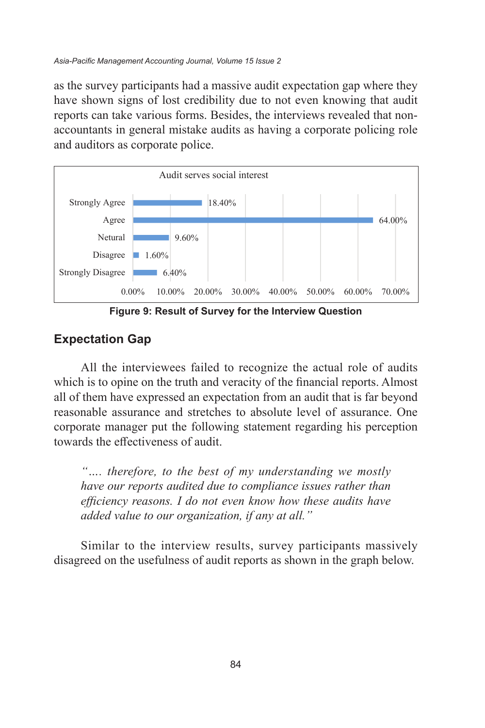as the survey participants had a massive audit expectation gap where they have shown signs of lost credibility due to not even knowing that audit reports can take various forms. Besides, the interviews revealed that nonaccountants in general mistake audits as having a corporate policing role and auditors as corporate police.



**Figure 9: Result of Survey for the Interview Question Figure 9: Result of Survey for the Interview Question**

#### **Expectation Gap**

all of them have expressed an expectation from an audit that is far beyond reasonable assurance and stretches to absolute level of assurance. One corporate manager put the following statement regarding his perception assurance and stretches to absolute level of assurance. One corporate manager towards the effectiveness of audit. required the effectiveness of additional All the interviewees failed to recognize the actual role of audits which is to opine on the truth and veracity of the financial reports. Almost

of audit. *efficiency reasons. I do not even know how these audits have have our reports audited due to compliance issues rather added value to our organization, if any at all." "…. therefore, to the best of my understanding we mostly have our reports audited due to compliance issues rather than* 

Similar to the interview results, survey participants massively disagreed on the usefulness of audit reports as shown in the graph below.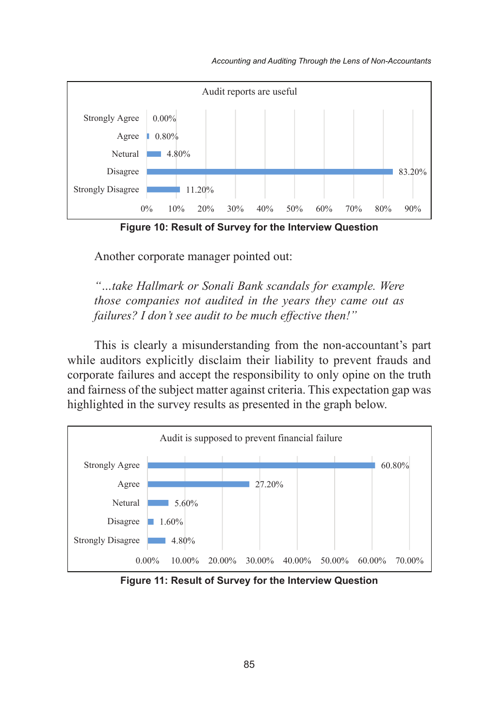

**Figure 10: Result of Survey for the Interview Question Figure 10: Result of Survey for the Interview Question** Another corporate manager pointed out-

Another corporate manager pointed out: *"…take Hallmark or Sonali Bank scandals for example.* 

Another corporate manager pointed out- *"…take Hallmark or Sonali Bank scandals for example. Were Were those companies not audited in the years they came out "…take Hallmark or Sonali Bank scandals for example. failures? I don't see audit to be much effective then!" those companies not audited in the years they came out as* 

*Were those companies not audited in the years they came out*  This is clearly a misunderstanding from the non-accountant's part and fairness of the subject matter against criteria. This expectation gap was highlighted in the survey results as presented in the graph below. failures and accept the responsibility to only opine on the truth and fairness of while auditors explicitly disclaim their liability to prevent frauds and corporate failures and accept the responsibility to only opine on the truth  $T$  is clearly a misunderstanding from the non-accountant from the non-accountant  $p$ I has a clearly a misunderstanding from the non-accountant s part



**Figure 11: Result of Survey for the Interview Question Figure 11: Result of Survey for the Interview Question**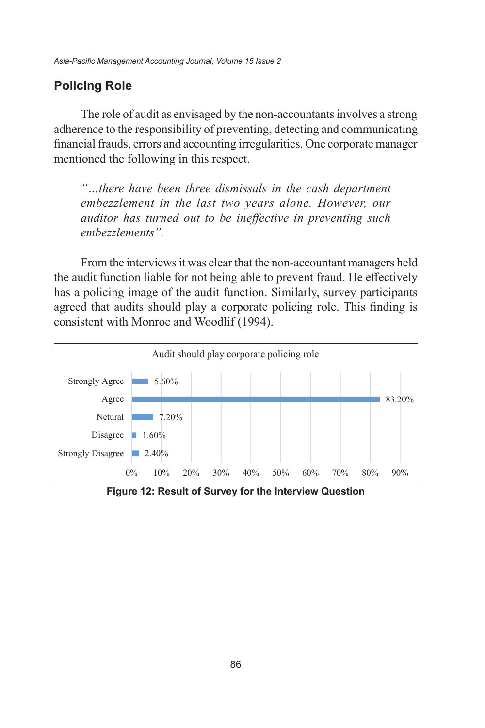#### **Policing Role**  $T$  role of audit as envisaged by the non-accountants involves a strong and accountants in  $\mathcal{S}$

The role of audit as envisaged by the non-accountants involves a strong adherence to the responsibility of preventing, detecting and communicating financial frauds, errors and accounting irregularities. One corporate manager mentioned the following in this respect. *"…there have been three dismissals in the cash department* 

"...there have been three dismissals in the cash department *embezzlement in the last two years alone. However, our embezzlement in the last two years alone. However, our auditor has turned out to be ineffective in preventing such embezzlements". embezzlements".* 

From the interviews it was clear that the non-accountant managers held the audit function liable for not being able to prevent fraud. He effectively has a policing image of the audit function. Similarly, survey participants agreed that audits should play a corporate policing role. This finding is consistent with Monroe and Woodlif (1994). From the interviews it was clear that the non-accountant managers held From the interviews it was clear that the non-accountant managers held



**Figure 12: Result of Survey for the Interview Question Figure 12: Result of Survey for the Interview Question**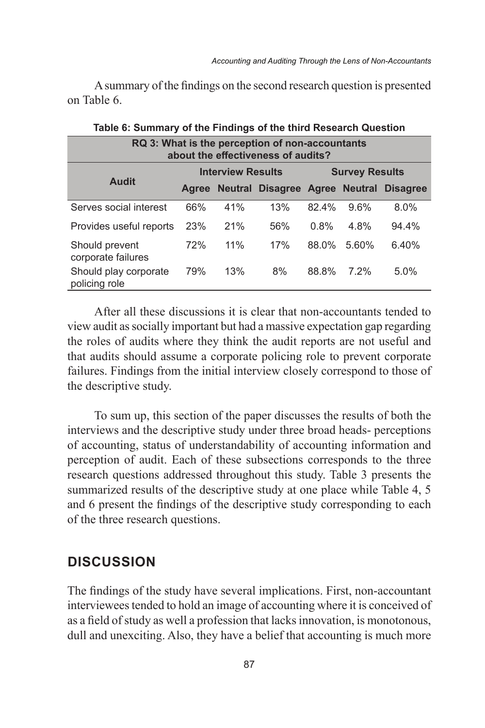A summary of the findings on the second research question is presented on Table 6.

| RQ 3: What is the perception of non-accountants<br>about the effectiveness of audits? |                                               |     |     |       |       |       |  |  |
|---------------------------------------------------------------------------------------|-----------------------------------------------|-----|-----|-------|-------|-------|--|--|
|                                                                                       | <b>Interview Results</b>                      |     |     |       |       |       |  |  |
| <b>Audit</b>                                                                          | Agree Neutral Disagree Agree Neutral Disagree |     |     |       |       |       |  |  |
| Serves social interest                                                                | 66%                                           | 41% | 13% | 82.4% | 9.6%  | 8.0%  |  |  |
| Provides useful reports                                                               | 23%                                           | 21% | 56% | 0.8%  | 4.8%  | 94.4% |  |  |
| Should prevent<br>corporate failures                                                  | 72%                                           | 11% | 17% | 88.0% | 5.60% | 6.40% |  |  |
| Should play corporate<br>policing role                                                | 79%                                           | 13% | 8%  | 88.8% | 7.2%  | 5.0%  |  |  |

# **Table 6: Summary of the Findings of the third Research Question**

After all these discussions it is clear that non-accountants tended to view audit as socially important but had a massive expectation gap regarding the roles of audits where they think the audit reports are not useful and that audits should assume a corporate policing role to prevent corporate failures. Findings from the initial interview closely correspond to those of the descriptive study.

To sum up, this section of the paper discusses the results of both the interviews and the descriptive study under three broad heads- perceptions of accounting, status of understandability of accounting information and perception of audit. Each of these subsections corresponds to the three research questions addressed throughout this study. Table 3 presents the summarized results of the descriptive study at one place while Table 4, 5 and 6 present the findings of the descriptive study corresponding to each of the three research questions.

## **DISCUSSION**

The findings of the study have several implications. First, non-accountant interviewees tended to hold an image of accounting where it is conceived of as a field of study as well a profession that lacks innovation, is monotonous, dull and unexciting. Also, they have a belief that accounting is much more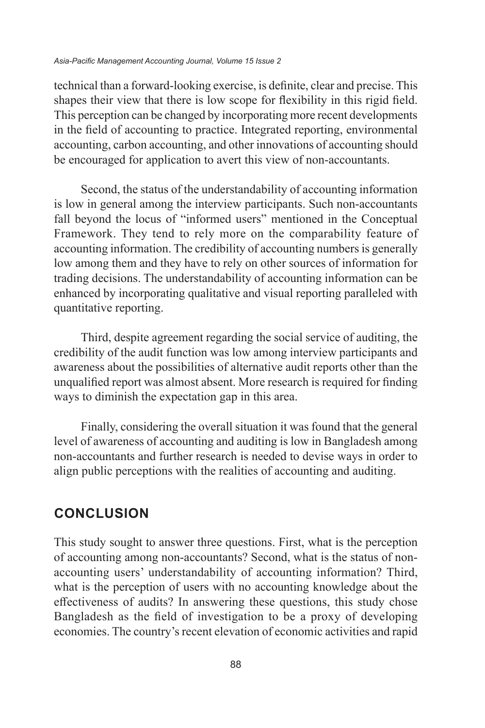#### *Asia-Pacific Management Accounting Journal, Volume 15 Issue 2*

technical than a forward-looking exercise, is definite, clear and precise. This shapes their view that there is low scope for flexibility in this rigid field. This perception can be changed by incorporating more recent developments in the field of accounting to practice. Integrated reporting, environmental accounting, carbon accounting, and other innovations of accounting should be encouraged for application to avert this view of non-accountants.

Second, the status of the understandability of accounting information is low in general among the interview participants. Such non-accountants fall beyond the locus of "informed users" mentioned in the Conceptual Framework. They tend to rely more on the comparability feature of accounting information. The credibility of accounting numbers is generally low among them and they have to rely on other sources of information for trading decisions. The understandability of accounting information can be enhanced by incorporating qualitative and visual reporting paralleled with quantitative reporting.

Third, despite agreement regarding the social service of auditing, the credibility of the audit function was low among interview participants and awareness about the possibilities of alternative audit reports other than the unqualified report was almost absent. More research is required for finding ways to diminish the expectation gap in this area.

Finally, considering the overall situation it was found that the general level of awareness of accounting and auditing is low in Bangladesh among non-accountants and further research is needed to devise ways in order to align public perceptions with the realities of accounting and auditing.

## **CONCLUSION**

This study sought to answer three questions. First, what is the perception of accounting among non-accountants? Second, what is the status of nonaccounting users' understandability of accounting information? Third, what is the perception of users with no accounting knowledge about the effectiveness of audits? In answering these questions, this study chose Bangladesh as the field of investigation to be a proxy of developing economies. The country's recent elevation of economic activities and rapid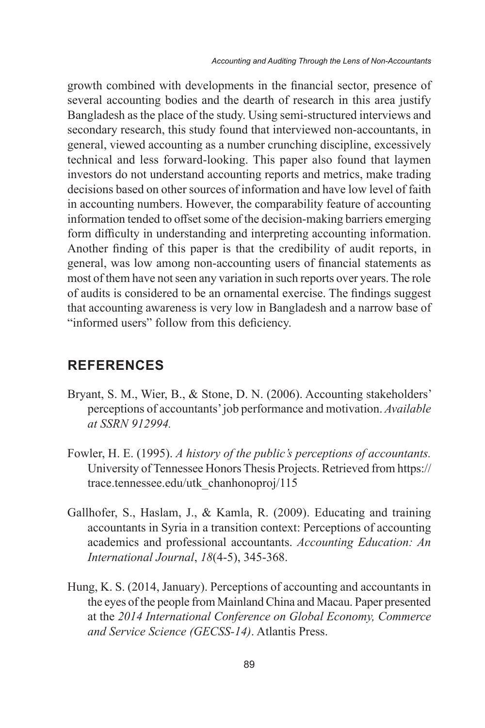growth combined with developments in the financial sector, presence of several accounting bodies and the dearth of research in this area justify Bangladesh as the place of the study. Using semi-structured interviews and secondary research, this study found that interviewed non-accountants, in general, viewed accounting as a number crunching discipline, excessively technical and less forward-looking. This paper also found that laymen investors do not understand accounting reports and metrics, make trading decisions based on other sources of information and have low level of faith in accounting numbers. However, the comparability feature of accounting information tended to offset some of the decision-making barriers emerging form difficulty in understanding and interpreting accounting information. Another finding of this paper is that the credibility of audit reports, in general, was low among non-accounting users of financial statements as most of them have not seen any variation in such reports over years. The role of audits is considered to be an ornamental exercise. The findings suggest that accounting awareness is very low in Bangladesh and a narrow base of "informed users" follow from this deficiency.

## **REFERENCES**

- Bryant, S. M., Wier, B., & Stone, D. N. (2006). Accounting stakeholders' perceptions of accountants' job performance and motivation. *Available at SSRN 912994.*
- Fowler, H. E. (1995). *A history of the public's perceptions of accountants.* University of Tennessee Honors Thesis Projects. Retrieved from https:// trace.tennessee.edu/utk\_chanhonoproj/115
- Gallhofer, S., Haslam, J., & Kamla, R. (2009). Educating and training accountants in Syria in a transition context: Perceptions of accounting academics and professional accountants. *Accounting Education: An International Journal*, *18*(4-5), 345-368.
- Hung, K. S. (2014, January). Perceptions of accounting and accountants in the eyes of the people from Mainland China and Macau. Paper presented at the *2014 International Conference on Global Economy, Commerce and Service Science (GECSS-14)*. Atlantis Press.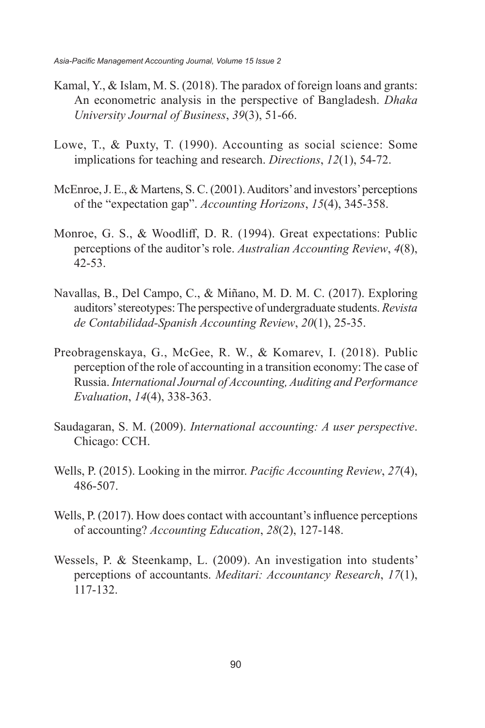- Kamal, Y., & Islam, M. S. (2018). The paradox of foreign loans and grants: An econometric analysis in the perspective of Bangladesh. *Dhaka University Journal of Business*, *39*(3), 51-66.
- Lowe, T., & Puxty, T. (1990). Accounting as social science: Some implications for teaching and research. *Directions*, *12*(1), 54-72.
- McEnroe, J. E., & Martens, S. C. (2001). Auditors' and investors' perceptions of the "expectation gap". *Accounting Horizons*, *15*(4), 345-358.
- Monroe, G. S., & Woodliff, D. R. (1994). Great expectations: Public perceptions of the auditor's role. *Australian Accounting Review*, *4*(8), 42-53.
- Navallas, B., Del Campo, C., & Miñano, M. D. M. C. (2017). Exploring auditors' stereotypes: The perspective of undergraduate students. *Revista de Contabilidad-Spanish Accounting Review*, *20*(1), 25-35.
- Preobragenskaya, G., McGee, R. W., & Komarev, I. (2018). Public perception of the role of accounting in a transition economy: The case of Russia. *International Journal of Accounting, Auditing and Performance Evaluation*, *14*(4), 338-363.
- Saudagaran, S. M. (2009). *International accounting: A user perspective*. Chicago: CCH.
- Wells, P. (2015). Looking in the mirror. *Pacific Accounting Review*, *27*(4), 486-507.
- Wells, P. (2017). How does contact with accountant's influence perceptions of accounting? *Accounting Education*, *28*(2), 127-148.
- Wessels, P. & Steenkamp, L. (2009). An investigation into students' perceptions of accountants. *Meditari: Accountancy Research*, *17*(1), 117-132.